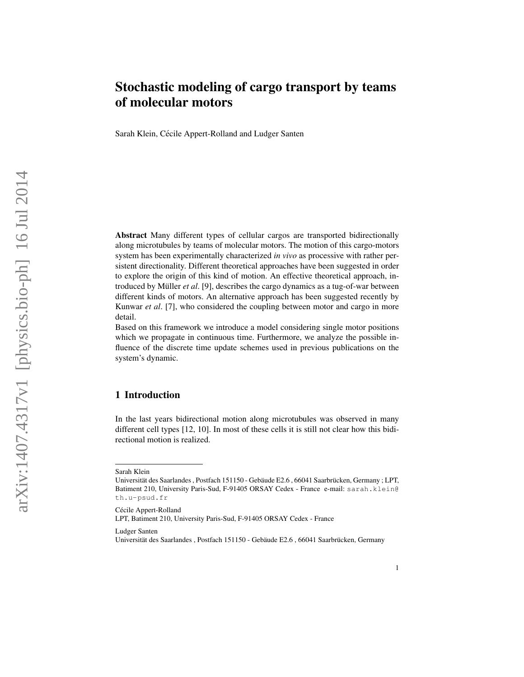# Stochastic modeling of cargo transport by teams of molecular motors

Sarah Klein, Cécile Appert-Rolland and Ludger Santen

Abstract Many different types of cellular cargos are transported bidirectionally along microtubules by teams of molecular motors. The motion of this cargo-motors system has been experimentally characterized *in vivo* as processive with rather persistent directionality. Different theoretical approaches have been suggested in order to explore the origin of this kind of motion. An effective theoretical approach, introduced by Müller et al. [9], describes the cargo dynamics as a tug-of-war between different kinds of motors. An alternative approach has been suggested recently by Kunwar *et al*. [7], who considered the coupling between motor and cargo in more detail.

Based on this framework we introduce a model considering single motor positions which we propagate in continuous time. Furthermore, we analyze the possible influence of the discrete time update schemes used in previous publications on the system's dynamic.

## 1 Introduction

In the last years bidirectional motion along microtubules was observed in many different cell types [12, 10]. In most of these cells it is still not clear how this bidirectional motion is realized.

Ludger Santen

Sarah Klein

Universität des Saarlandes , Postfach 151150 - Gebäude E2.6, 66041 Saarbrücken, Germany ; LPT, Batiment 210, University Paris-Sud, F-91405 ORSAY Cedex - France e-mail: sarah.klein@ th.u-psud.fr

Cécile Appert-Rolland

LPT, Batiment 210, University Paris-Sud, F-91405 ORSAY Cedex - France

Universität des Saarlandes, Postfach 151150 - Gebäude E2.6, 66041 Saarbrücken, Germany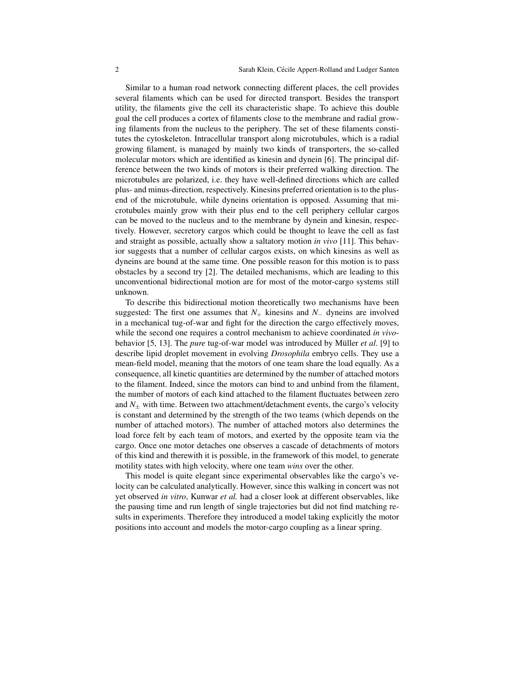Similar to a human road network connecting different places, the cell provides several filaments which can be used for directed transport. Besides the transport utility, the filaments give the cell its characteristic shape. To achieve this double goal the cell produces a cortex of filaments close to the membrane and radial growing filaments from the nucleus to the periphery. The set of these filaments constitutes the cytoskeleton. Intracellular transport along microtubules, which is a radial growing filament, is managed by mainly two kinds of transporters, the so-called molecular motors which are identified as kinesin and dynein [6]. The principal difference between the two kinds of motors is their preferred walking direction. The microtubules are polarized, i.e. they have well-defined directions which are called plus- and minus-direction, respectively. Kinesins preferred orientation is to the plusend of the microtubule, while dyneins orientation is opposed. Assuming that microtubules mainly grow with their plus end to the cell periphery cellular cargos can be moved to the nucleus and to the membrane by dynein and kinesin, respectively. However, secretory cargos which could be thought to leave the cell as fast and straight as possible, actually show a saltatory motion *in vivo* [11]. This behavior suggests that a number of cellular cargos exists, on which kinesins as well as dyneins are bound at the same time. One possible reason for this motion is to pass obstacles by a second try [2]. The detailed mechanisms, which are leading to this unconventional bidirectional motion are for most of the motor-cargo systems still unknown.

To describe this bidirectional motion theoretically two mechanisms have been suggested: The first one assumes that *N*<sup>+</sup> kinesins and *N*<sup>−</sup> dyneins are involved in a mechanical tug-of-war and fight for the direction the cargo effectively moves, while the second one requires a control mechanism to achieve coordinated *in vivo*behavior [5, 13]. The *pure* tug-of-war model was introduced by Müller *et al.* [9] to describe lipid droplet movement in evolving *Drosophila* embryo cells. They use a mean-field model, meaning that the motors of one team share the load equally. As a consequence, all kinetic quantities are determined by the number of attached motors to the filament. Indeed, since the motors can bind to and unbind from the filament, the number of motors of each kind attached to the filament fluctuates between zero and  $N_{+}$  with time. Between two attachment/detachment events, the cargo's velocity is constant and determined by the strength of the two teams (which depends on the number of attached motors). The number of attached motors also determines the load force felt by each team of motors, and exerted by the opposite team via the cargo. Once one motor detaches one observes a cascade of detachments of motors of this kind and therewith it is possible, in the framework of this model, to generate motility states with high velocity, where one team *wins* over the other.

This model is quite elegant since experimental observables like the cargo's velocity can be calculated analytically. However, since this walking in concert was not yet observed *in vitro*, Kunwar *et al.* had a closer look at different observables, like the pausing time and run length of single trajectories but did not find matching results in experiments. Therefore they introduced a model taking explicitly the motor positions into account and models the motor-cargo coupling as a linear spring.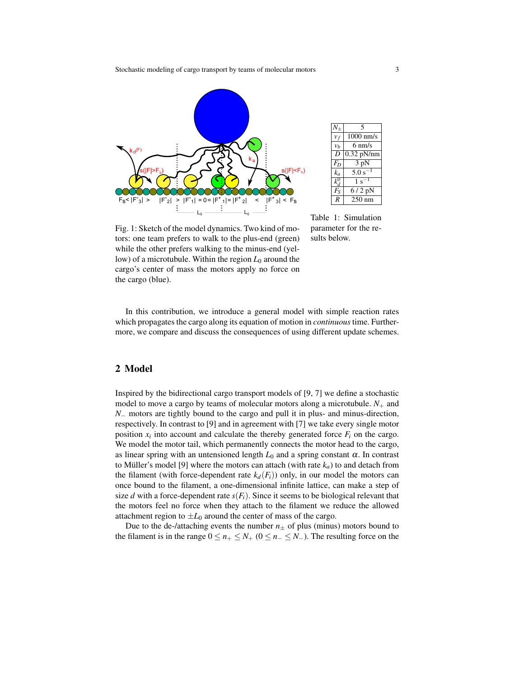

| $N_{+}$        | 5                   |
|----------------|---------------------|
|                | $1000 \text{ nm/s}$ |
| v <sub>b</sub> | $6 \text{ nm/s}$    |
| D              | $0.32$ pN/nm        |
| $F_D$          | 3 pN                |
| $k_a$          | $5.0 s^{-}$         |
| $k_d^0$        | $1 s^{-1}$          |
| Fs             | $6/2$ pN            |
| R              | 250 nm              |

Table 1: Simulation parameter for the results below.

Fig. 1: Sketch of the model dynamics. Two kind of motors: one team prefers to walk to the plus-end (green) while the other prefers walking to the minus-end (yellow) of a microtubule. Within the region  $L_0$  around the cargo's center of mass the motors apply no force on the cargo (blue).

In this contribution, we introduce a general model with simple reaction rates which propagates the cargo along its equation of motion in *continuous* time. Furthermore, we compare and discuss the consequences of using different update schemes.

### 2 Model

Inspired by the bidirectional cargo transport models of [9, 7] we define a stochastic model to move a cargo by teams of molecular motors along a microtubule.  $N_+$  and *N*− motors are tightly bound to the cargo and pull it in plus- and minus-direction, respectively. In contrast to [9] and in agreement with [7] we take every single motor position  $x_i$  into account and calculate the thereby generated force  $F_i$  on the cargo. We model the motor tail, which permanently connects the motor head to the cargo, as linear spring with an untensioned length  $L_0$  and a spring constant  $\alpha$ . In contrast to Müller's model [9] where the motors can attach (with rate  $k_a$ ) to and detach from the filament (with force-dependent rate  $k_d(F_i)$ ) only, in our model the motors can once bound to the filament, a one-dimensional infinite lattice, can make a step of size *d* with a force-dependent rate  $s(F_i)$ . Since it seems to be biological relevant that the motors feel no force when they attach to the filament we reduce the allowed attachment region to  $\pm L_0$  around the center of mass of the cargo.

Due to the de-/attaching events the number  $n<sub>±</sub>$  of plus (minus) motors bound to the filament is in the range  $0 \le n_+ \le N_+$  ( $0 \le n_- \le N_-$ ). The resulting force on the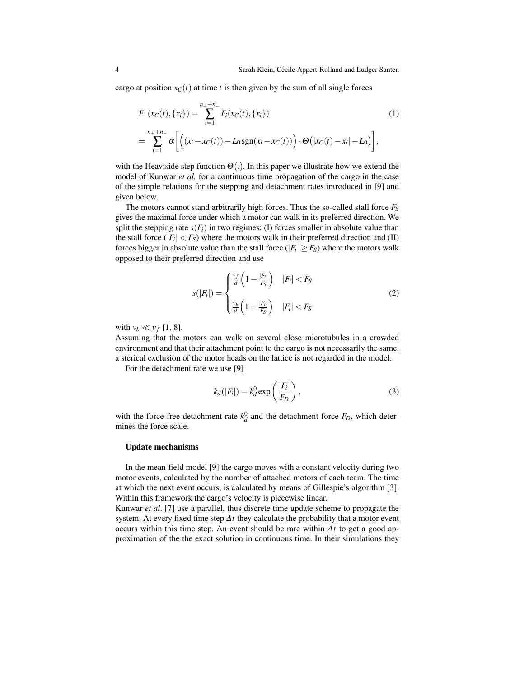cargo at position  $x<sub>C</sub>(t)$  at time *t* is then given by the sum of all single forces

$$
F(x_C(t), \{x_i\}) = \sum_{i=1}^{n_+ + n_-} F_i(x_C(t), \{x_i\})
$$
\n
$$
= \sum_{i=1}^{n_+ + n_-} \alpha \left[ \left( (x_i - x_C(t)) - L_0 \operatorname{sgn}(x_i - x_C(t)) \right) \cdot \Theta(|x_C(t) - x_i| - L_0) \right],
$$
\n(1)

with the Heaviside step function  $\Theta(.)$ . In this paper we illustrate how we extend the model of Kunwar *et al.* for a continuous time propagation of the cargo in the case of the simple relations for the stepping and detachment rates introduced in [9] and given below.

The motors cannot stand arbitrarily high forces. Thus the so-called stall force *F<sup>S</sup>* gives the maximal force under which a motor can walk in its preferred direction. We split the stepping rate  $s(F_i)$  in two regimes: (I) forces smaller in absolute value than the stall force ( $|F_i| < F_S$ ) where the motors walk in their preferred direction and (II) forces bigger in absolute value than the stall force ( $|F_i| \geq F_S$ ) where the motors walk opposed to their preferred direction and use

$$
s(|F_i|) = \begin{cases} \frac{v_f}{d} \left(1 - \frac{|F_i|}{F_S}\right) & |F_i| < F_S\\ \frac{v_b}{d} \left(1 - \frac{|F_i|}{F_S}\right) & |F_i| < F_S \end{cases} \tag{2}
$$

with  $v_b \ll v_f$  [1, 8].

Assuming that the motors can walk on several close microtubules in a crowded environment and that their attachment point to the cargo is not necessarily the same, a sterical exclusion of the motor heads on the lattice is not regarded in the model.

For the detachment rate we use [9]

$$
k_d(|F_i|) = k_d^0 \exp\left(\frac{|F_i|}{F_D}\right),\tag{3}
$$

with the force-free detachment rate  $k_d^0$  and the detachment force  $F_D$ , which determines the force scale.

#### Update mechanisms

In the mean-field model [9] the cargo moves with a constant velocity during two motor events, calculated by the number of attached motors of each team. The time at which the next event occurs, is calculated by means of Gillespie's algorithm [3]. Within this framework the cargo's velocity is piecewise linear.

Kunwar *et al*. [7] use a parallel, thus discrete time update scheme to propagate the system. At every fixed time step  $\Delta t$  they calculate the probability that a motor event occurs within this time step. An event should be rare within ∆*t* to get a good approximation of the the exact solution in continuous time. In their simulations they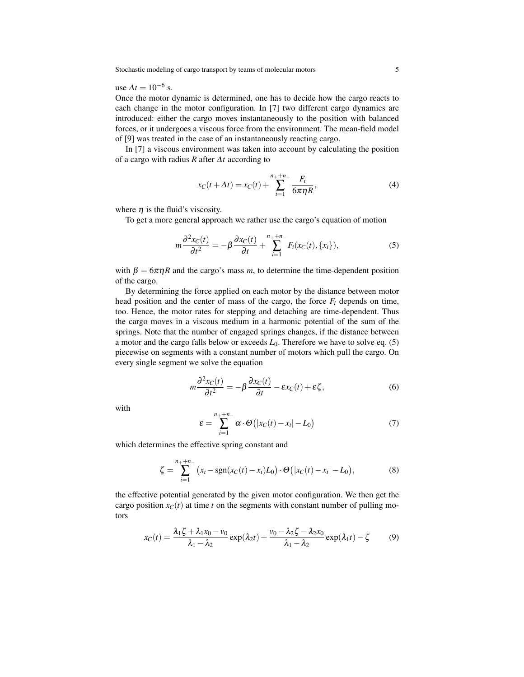Stochastic modeling of cargo transport by teams of molecular motors 5

use  $\Delta t = 10^{-6}$  s.

Once the motor dynamic is determined, one has to decide how the cargo reacts to each change in the motor configuration. In [7] two different cargo dynamics are introduced: either the cargo moves instantaneously to the position with balanced forces, or it undergoes a viscous force from the environment. The mean-field model of [9] was treated in the case of an instantaneously reacting cargo.

In [7] a viscous environment was taken into account by calculating the position of a cargo with radius *R* after ∆*t* according to

$$
x_C(t + \Delta t) = x_C(t) + \sum_{i=1}^{n_+ + n_-} \frac{F_i}{6\pi \eta R},
$$
\n(4)

where  $\eta$  is the fluid's viscosity.

To get a more general approach we rather use the cargo's equation of motion

$$
m\frac{\partial^2 x_C(t)}{\partial t^2} = -\beta \frac{\partial x_C(t)}{\partial t} + \sum_{i=1}^{n_+ + n_-} F_i(x_C(t), \{x_i\}),\tag{5}
$$

with  $\beta = 6\pi \eta R$  and the cargo's mass *m*, to determine the time-dependent position of the cargo.

By determining the force applied on each motor by the distance between motor head position and the center of mass of the cargo, the force  $F_i$  depends on time, too. Hence, the motor rates for stepping and detaching are time-dependent. Thus the cargo moves in a viscous medium in a harmonic potential of the sum of the springs. Note that the number of engaged springs changes, if the distance between a motor and the cargo falls below or exceeds  $L_0$ . Therefore we have to solve eq. (5) piecewise on segments with a constant number of motors which pull the cargo. On every single segment we solve the equation

$$
m\frac{\partial^2 x_C(t)}{\partial t^2} = -\beta \frac{\partial x_C(t)}{\partial t} - \varepsilon x_C(t) + \varepsilon \zeta,
$$
\n(6)

with

$$
\varepsilon = \sum_{i=1}^{n_+ + n_-} \alpha \cdot \Theta\big( |x_C(t) - x_i| - L_0 \big) \tag{7}
$$

which determines the effective spring constant and

$$
\zeta = \sum_{i=1}^{n_{+}+n_{-}} (x_{i} - \text{sgn}(x_{C}(t) - x_{i})L_{0}) \cdot \Theta(|x_{C}(t) - x_{i}| - L_{0}), \qquad (8)
$$

the effective potential generated by the given motor configuration. We then get the cargo position  $x<sub>C</sub>(t)$  at time *t* on the segments with constant number of pulling motors

$$
x_C(t) = \frac{\lambda_1 \zeta + \lambda_1 x_0 - v_0}{\lambda_1 - \lambda_2} \exp(\lambda_2 t) + \frac{v_0 - \lambda_2 \zeta - \lambda_2 x_0}{\lambda_1 - \lambda_2} \exp(\lambda_1 t) - \zeta \tag{9}
$$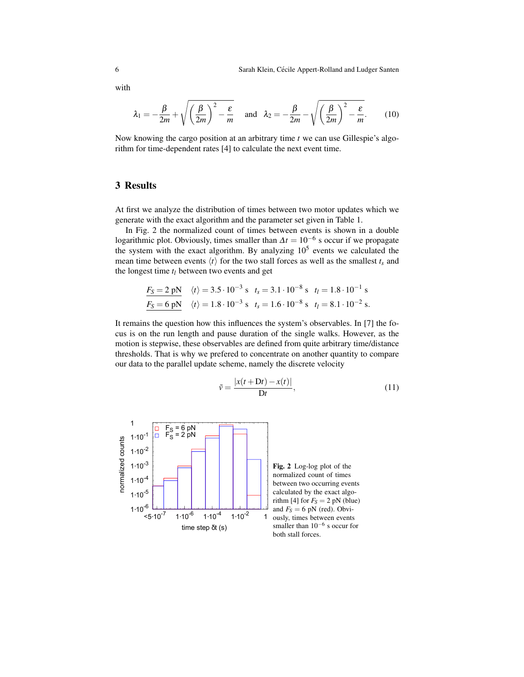with

$$
\lambda_1 = -\frac{\beta}{2m} + \sqrt{\left(\frac{\beta}{2m}\right)^2 - \frac{\varepsilon}{m}} \quad \text{and} \quad \lambda_2 = -\frac{\beta}{2m} - \sqrt{\left(\frac{\beta}{2m}\right)^2 - \frac{\varepsilon}{m}}.\tag{10}
$$

Now knowing the cargo position at an arbitrary time *t* we can use Gillespie's algorithm for time-dependent rates [4] to calculate the next event time.

### 3 Results

At first we analyze the distribution of times between two motor updates which we generate with the exact algorithm and the parameter set given in Table 1.

In Fig. 2 the normalized count of times between events is shown in a double logarithmic plot. Obviously, times smaller than  $\Delta t = 10^{-6}$  s occur if we propagate the system with the exact algorithm. By analyzing  $10<sup>5</sup>$  events we calculated the mean time between events  $\langle t \rangle$  for the two stall forces as well as the smallest  $t_s$  and the longest time *t<sup>l</sup>* between two events and get

$$
\frac{F_S = 2 \text{ pN}}{F_S = 6 \text{ pN}} \quad \langle t \rangle = 3.5 \cdot 10^{-3} \text{ s} \quad t_s = 3.1 \cdot 10^{-8} \text{ s} \quad t_l = 1.8 \cdot 10^{-1} \text{ s}
$$
\n
$$
F_S = 6 \text{ pN} \quad \langle t \rangle = 1.8 \cdot 10^{-3} \text{ s} \quad t_s = 1.6 \cdot 10^{-8} \text{ s} \quad t_l = 8.1 \cdot 10^{-2} \text{ s}.
$$

It remains the question how this influences the system's observables. In [7] the focus is on the run length and pause duration of the single walks. However, as the motion is stepwise, these observables are defined from quite arbitrary time/distance thresholds. That is why we prefered to concentrate on another quantity to compare our data to the parallel update scheme, namely the discrete velocity

$$
\tilde{v} = \frac{|x(t + \mathrm{D}t) - x(t)|}{\mathrm{D}t},\tag{11}
$$



Fig. 2 Log-log plot of the normalized count of times between two occurring events calculated by the exact algorithm [4] for  $F_S = 2$  pN (blue) and  $F_S = 6$  pN (red). Obviously, times between events smaller than 10<sup>-6</sup> s occur for both stall forces.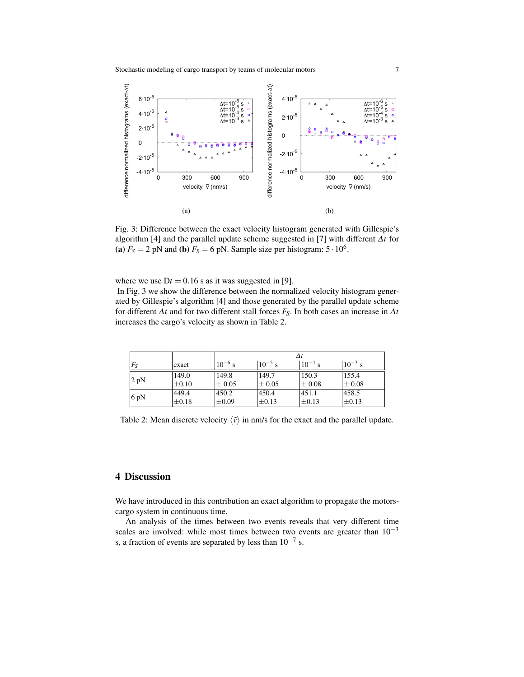

Fig. 3: Difference between the exact velocity histogram generated with Gillespie's algorithm [4] and the parallel update scheme suggested in [7] with different ∆*t* for (a)  $F_S = 2$  pN and (b)  $F_S = 6$  pN. Sample size per histogram:  $5 \cdot 10^6$ .

where we use  $Dt = 0.16$  s as it was suggested in [9].

In Fig. 3 we show the difference between the normalized velocity histogram generated by Gillespie's algorithm [4] and those generated by the parallel update scheme for different ∆*t* and for two different stall forces *FS*. In both cases an increase in ∆*t* increases the cargo's velocity as shown in Table 2.

|         |            | $\Delta t$  |             |              |             |  |
|---------|------------|-------------|-------------|--------------|-------------|--|
| $ F_S $ | exact      | $10^{-6}$ s | $10^{-5}$ s | $110^{-4}$ s | $10^{-3}$ s |  |
| 2 pN    | 149.0      | 149.8       | 149.7       | 150.3        | 155.4       |  |
|         | $\pm 0.10$ | $\pm 0.05$  | $\pm 0.05$  | $\pm 0.08$   | $\pm 0.08$  |  |
| 6 pN    | 449.4      | 450.2       | 450.4       | 451.1        | 458.5       |  |
|         | $\pm 0.18$ | $\pm 0.09$  | $\pm 0.13$  | $\pm 0.13$   | $\pm 0.13$  |  |

Table 2: Mean discrete velocity  $\langle \tilde{v} \rangle$  in nm/s for the exact and the parallel update.

## 4 Discussion

We have introduced in this contribution an exact algorithm to propagate the motorscargo system in continuous time.

An analysis of the times between two events reveals that very different time scales are involved: while most times between two events are greater than  $10^{-3}$ s, a fraction of events are separated by less than  $10^{-7}$  s.